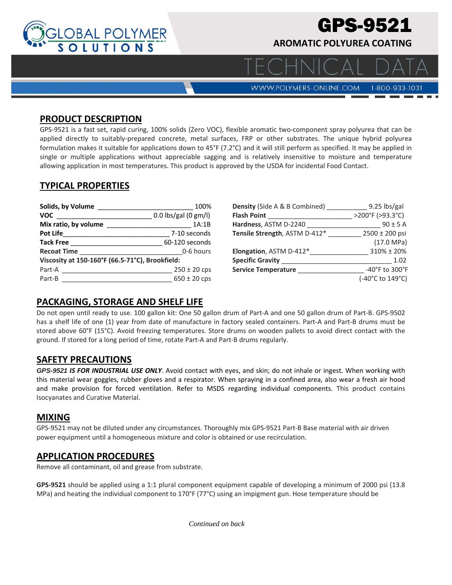

# GPS-9521

**AROMATIC POLYUREA COATING** 

WWW.POLYMERS-ONLINE.COM

#### 1-800-933-1031

#### **PRODUCT DESCRIPTION**

GPS-9521 is a fast set, rapid curing, 100% solids (Zero VOC), flexible aromatic two-component spray polyurea that can be applied directly to suitably-prepared concrete, metal surfaces, FRP or other substrates. The unique hybrid polyurea formulation makes it suitable for applications down to 45°F (7.2°C) and it will still perform as specified. It may be applied in single or multiple applications without appreciable sagging and is relatively insensitive to moisture and temperature allowing application in most temperatures. This product is approved by the USDA for incidental Food Contact.

## **TYPICAL PROPERTIES**

| Solids, by Volume                               | 100%                   |  |
|-------------------------------------------------|------------------------|--|
| <b>VOC</b>                                      | $0.0$ lbs/gal (0 gm/l) |  |
| Mix ratio, by volume                            | 1A:1B                  |  |
| <b>Pot Life</b>                                 | 7-10 seconds           |  |
| <b>Tack Free</b>                                | 60-120 seconds         |  |
| <b>Recoat Time</b>                              | 0-6 hours              |  |
| Viscosity at 150-160°F (66.5-71°C), Brookfield: |                        |  |
| Part-A                                          | $250 \pm 20$ cps       |  |
| Part-B                                          | $650 \pm 20$ cps       |  |

| <b>Density</b> (Side A & B Combined) | 9.25 lbs/gal         |
|--------------------------------------|----------------------|
| <b>Flash Point</b>                   | >200°F (>93.3°C)     |
| Hardness, ASTM D-2240                | $90 \pm 5$ A         |
| Tensile Strength, ASTM D-412*        | 2500 ± 200 psi       |
|                                      | $(17.0 \text{ MPa})$ |
| Elongation, ASTM D-412*              | 310% ± 20%           |
| <b>Specific Gravity</b>              | 1.02                 |
| <b>Service Temperature</b>           | -40°F to 300°F       |
|                                      | (-40°C to 149°C)     |

## **PACKAGING, STORAGE AND SHELF LIFE**

Do not open until ready to use. 100 gallon kit: One 50 gallon drum of Part‐A and one 50 gallon drum of Part‐B. GPS‐9502 has a shelf life of one (1) year from date of manufacture in factory sealed containers. Part-A and Part-B drums must be stored above 60°F (15°C). Avoid freezing temperatures. Store drums on wooden pallets to avoid direct contact with the ground. If stored for a long period of time, rotate Part‐A and Part‐B drums regularly.

## **SAFETY PRECAUTIONS**

*GPS-9521 IS FOR INDUSTRIAL USE ONLY*. Avoid contact with eyes, and skin; do not inhale or ingest. When working with this material wear goggles, rubber gloves and a respirator. When spraying in a confined area, also wear a fresh air hood and make provision for forced ventilation. Refer to MSDS regarding individual components. This product contains Isocyanates and Curative Material.

## **MIXING**

GPS‐9521 may not be diluted under any circumstances. Thoroughly mix GPS‐9521 Part‐B Base material with air driven power equipment until a homogeneous mixture and color is obtained or use recirculation.

## **APPLICATION PROCEDURES**

Remove all contaminant, oil and grease from substrate.

**GPS‐9521** should be applied using a 1:1 plural component equipment capable of developing a minimum of 2000 psi (13.8 MPa) and heating the individual component to 170°F (77°C) using an impigment gun. Hose temperature should be